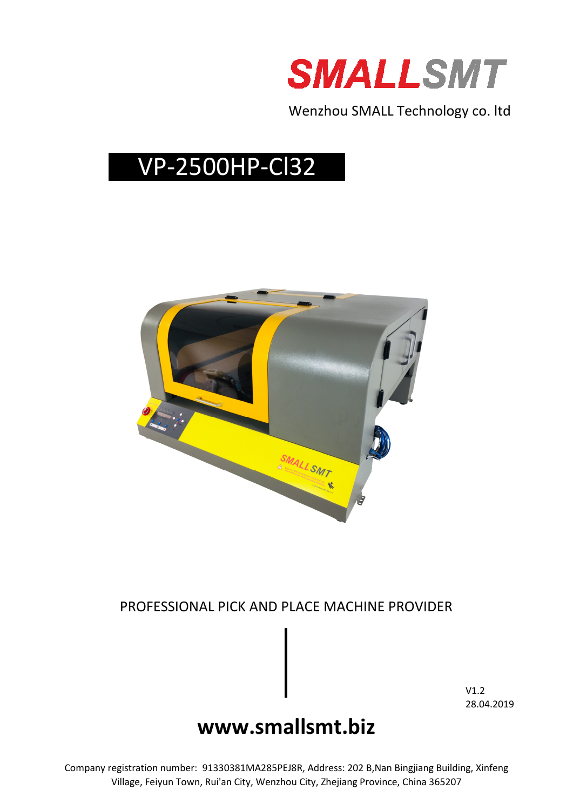

Wenzhou SMALL Technology co. ltd

# VP-2500HP-Cl32



### PROFESSIONAL PICK AND PLACE MACHINE PROVIDER

V1.2 28.04.2019

## **www.smallsmt.biz**

Company registration number: 91330381MA285PEJ8R, Address: 202 B,Nan Bingjiang Building, Xinfeng Village, Feiyun Town, Rui'an City, Wenzhou City, Zhejiang Province, China 365207